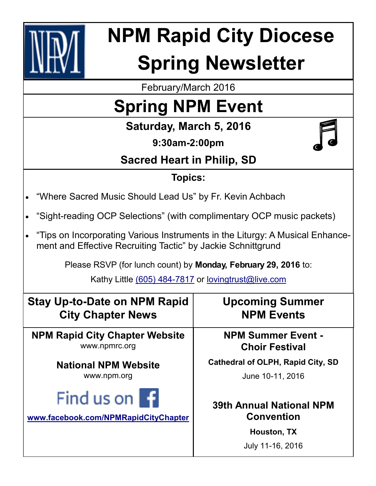

# **NPM Rapid City Diocese Spring Newsletter**

February/March 2016

## **Spring NPM Event**

**Saturday, March 5, 2016**

**9:30am-2:00pm**



### **Sacred Heart in Philip, SD**

#### **Topics:**

- "Where Sacred Music Should Lead Us" by Fr. Kevin Achbach
- "Sight-reading OCP Selections" (with complimentary OCP music packets)
- "Tips on Incorporating Various Instruments in the Liturgy: A Musical Enhancement and Effective Recruiting Tactic" by Jackie Schnittgrund

Please RSVP (for lunch count) by **Monday, February 29, 2016** to:

Kathy Little (605) 484-7817 or [lovingtrust@live.com](mailto:lovingtrust@live.com)

| <b>Stay Up-to-Date on NPM Rapid</b>   | <b>Upcoming Summer</b>                   |
|---------------------------------------|------------------------------------------|
| <b>City Chapter News</b>              | <b>NPM Events</b>                        |
| <b>NPM Rapid City Chapter Website</b> | <b>NPM Summer Event -</b>                |
| www.npmrc.org                         | <b>Choir Festival</b>                    |
| <b>National NPM Website</b>           | <b>Cathedral of OLPH, Rapid City, SD</b> |
| www.npm.org                           | June 10-11, 2016                         |
| Find us on <b>1</b>                   | <b>39th Annual National NPM</b>          |
| www.facebook.com/NPMRapidCityChapter  | <b>Convention</b>                        |
|                                       | Houston, TX<br>July 11-16, 2016          |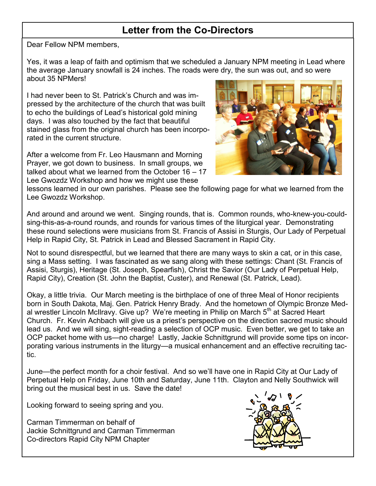#### **Letter from the Co-Directors**

Dear Fellow NPM members,

Yes, it was a leap of faith and optimism that we scheduled a January NPM meeting in Lead where the average January snowfall is 24 inches. The roads were dry, the sun was out, and so were about 35 NPMers!

I had never been to St. Patrick's Church and was impressed by the architecture of the church that was built to echo the buildings of Lead's historical gold mining days. I was also touched by the fact that beautiful stained glass from the original church has been incorporated in the current structure.

After a welcome from Fr. Leo Hausmann and Morning Prayer, we got down to business. In small groups, we talked about what we learned from the October 16 – 17 Lee Gwozdz Workshop and how we might use these



lessons learned in our own parishes. Please see the following page for what we learned from the Lee Gwozdz Workshop.

And around and around we went. Singing rounds, that is. Common rounds, who-knew-you-couldsing-this-as-a-round rounds, and rounds for various times of the liturgical year. Demonstrating these round selections were musicians from St. Francis of Assisi in Sturgis, Our Lady of Perpetual Help in Rapid City, St. Patrick in Lead and Blessed Sacrament in Rapid City.

Not to sound disrespectful, but we learned that there are many ways to skin a cat, or in this case, sing a Mass setting. I was fascinated as we sang along with these settings: Chant (St. Francis of Assisi, Sturgis), Heritage (St. Joseph, Spearfish), Christ the Savior (Our Lady of Perpetual Help, Rapid City), Creation (St. John the Baptist, Custer), and Renewal (St. Patrick, Lead).

Okay, a little trivia. Our March meeting is the birthplace of one of three Meal of Honor recipients born in South Dakota, Maj. Gen. Patrick Henry Brady. And the hometown of Olympic Bronze Medal wrestler Lincoln McIlravy. Give up? We're meeting in Philip on March 5<sup>th</sup> at Sacred Heart Church. Fr. Kevin Achbach will give us a priest's perspective on the direction sacred music should lead us. And we will sing, sight-reading a selection of OCP music. Even better, we get to take an OCP packet home with us—no charge! Lastly, Jackie Schnittgrund will provide some tips on incorporating various instruments in the liturgy—a musical enhancement and an effective recruiting tactic.

June—the perfect month for a choir festival. And so we'll have one in Rapid City at Our Lady of Perpetual Help on Friday, June 10th and Saturday, June 11th. Clayton and Nelly Southwick will bring out the musical best in us. Save the date!

Looking forward to seeing spring and you.

Carman Timmerman on behalf of Jackie Schnittgrund and Carman Timmerman Co-directors Rapid City NPM Chapter

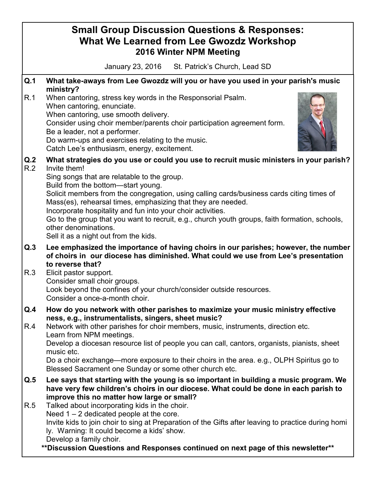#### **Small Group Discussion Questions & Responses: What We Learned from Lee Gwozdz Workshop 2016 Winter NPM Meeting** January 23, 2016 St. Patrick's Church, Lead SD **Q.1 What take-aways from Lee Gwozdz will you or have you used in your parish's music ministry?** R.1 When cantoring, stress key words in the Responsorial Psalm. When cantoring, enunciate. When cantoring, use smooth delivery. Consider using choir member/parents choir participation agreement form. Be a leader, not a performer. Do warm-ups and exercises relating to the music. Catch Lee's enthusiasm, energy, excitement. **Q.2 What strategies do you use or could you use to recruit music ministers in your parish?** R.2 Invite them! Sing songs that are relatable to the group. Build from the bottom—start young. Solicit members from the congregation, using calling cards/business cards citing times of Mass(es), rehearsal times, emphasizing that they are needed. Incorporate hospitality and fun into your choir activities. Go to the group that you want to recruit, e.g., church youth groups, faith formation, schools, other denominations. Sell it as a night out from the kids. **Q.3 Lee emphasized the importance of having choirs in our parishes; however, the number of choirs in our diocese has diminished. What could we use from Lee's presentation to reverse that?** R.3 Elicit pastor support. Consider small choir groups. Look beyond the confines of your church/consider outside resources. Consider a once-a-month choir. **Q.4 How do you network with other parishes to maximize your music ministry effective ness, e.g., instrumentalists, singers, sheet music?** R.4 Network with other parishes for choir members, music, instruments, direction etc. Learn from NPM meetings. Develop a diocesan resource list of people you can call, cantors, organists, pianists, sheet music etc. Do a choir exchange—more exposure to their choirs in the area. e.g., OLPH Spiritus go to Blessed Sacrament one Sunday or some other church etc. **Q.5 Lee says that starting with the young is so important in building a music program. We have very few children's choirs in our diocese. What could be done in each parish to improve this no matter how large or small?** R.5 Talked about incorporating kids in the choir. Need  $1 - 2$  dedicated people at the core. Invite kids to join choir to sing at Preparation of the Gifts after leaving to practice during homi ly. Warning: It could become a kids' show. Develop a family choir. **\*\*Discussion Questions and Responses continued on next page of this newsletter\*\***